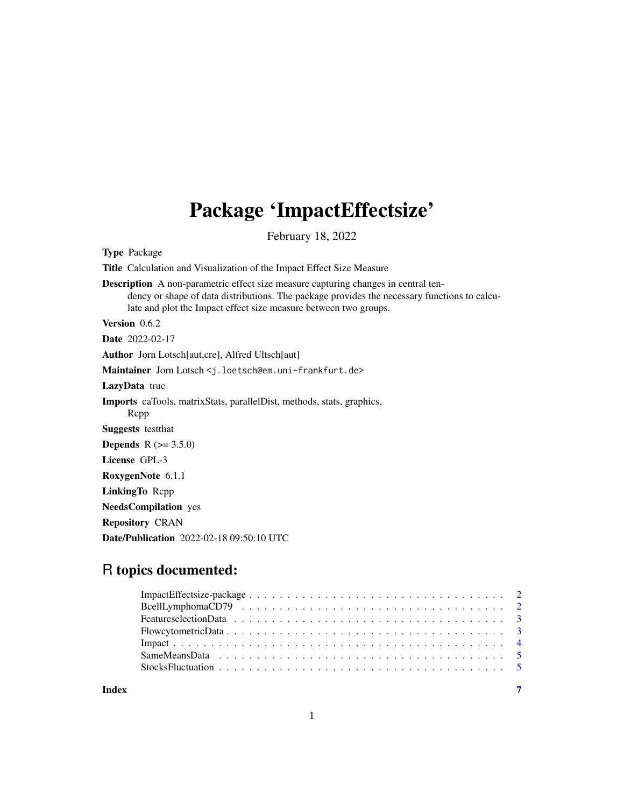## Package 'ImpactEffectsize'

February 18, 2022

Type Package Title Calculation and Visualization of the Impact Effect Size Measure Description A non-parametric effect size measure capturing changes in central tendency or shape of data distributions. The package provides the necessary functions to calculate and plot the Impact effect size measure between two groups. Version 0.6.2 Date 2022-02-17 Author Jorn Lotsch[aut,cre], Alfred Ultsch[aut] Maintainer Jorn Lotsch <j.loetsch@em.uni-frankfurt.de> LazyData true Imports caTools, matrixStats, parallelDist, methods, stats, graphics, Rcpp Suggests testthat **Depends**  $R (= 3.5.0)$ License GPL-3 RoxygenNote 6.1.1 LinkingTo Rcpp NeedsCompilation yes Repository CRAN Date/Publication 2022-02-18 09:50:10 UTC

### R topics documented:

| Index | 7 |
|-------|---|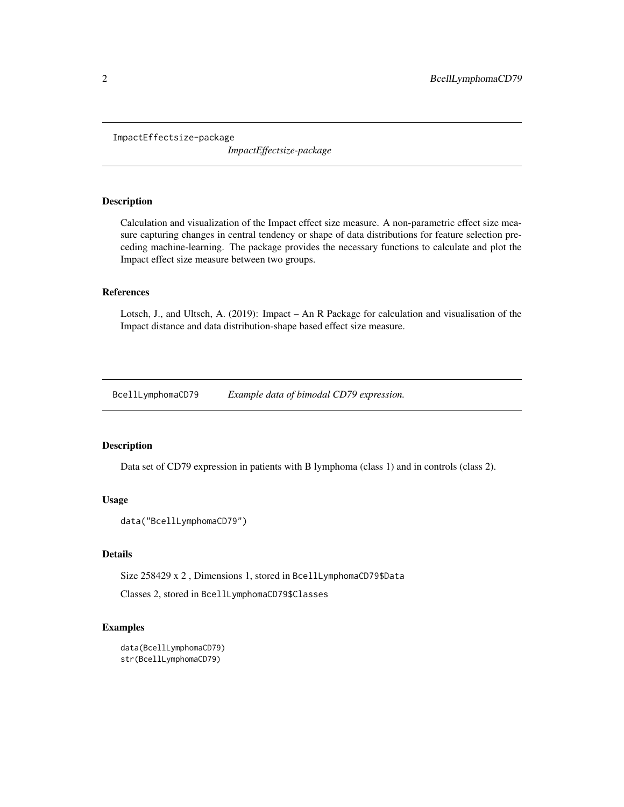<span id="page-1-0"></span>ImpactEffectsize-package

*ImpactEffectsize-package*

#### Description

Calculation and visualization of the Impact effect size measure. A non-parametric effect size measure capturing changes in central tendency or shape of data distributions for feature selection preceding machine-learning. The package provides the necessary functions to calculate and plot the Impact effect size measure between two groups.

#### References

Lotsch, J., and Ultsch, A. (2019): Impact – An R Package for calculation and visualisation of the Impact distance and data distribution-shape based effect size measure.

BcellLymphomaCD79 *Example data of bimodal CD79 expression.*

#### Description

Data set of CD79 expression in patients with B lymphoma (class 1) and in controls (class 2).

#### Usage

```
data("BcellLymphomaCD79")
```
#### Details

Size 258429 x 2 , Dimensions 1, stored in BcellLymphomaCD79\$Data

Classes 2, stored in BcellLymphomaCD79\$Classes

#### Examples

```
data(BcellLymphomaCD79)
str(BcellLymphomaCD79)
```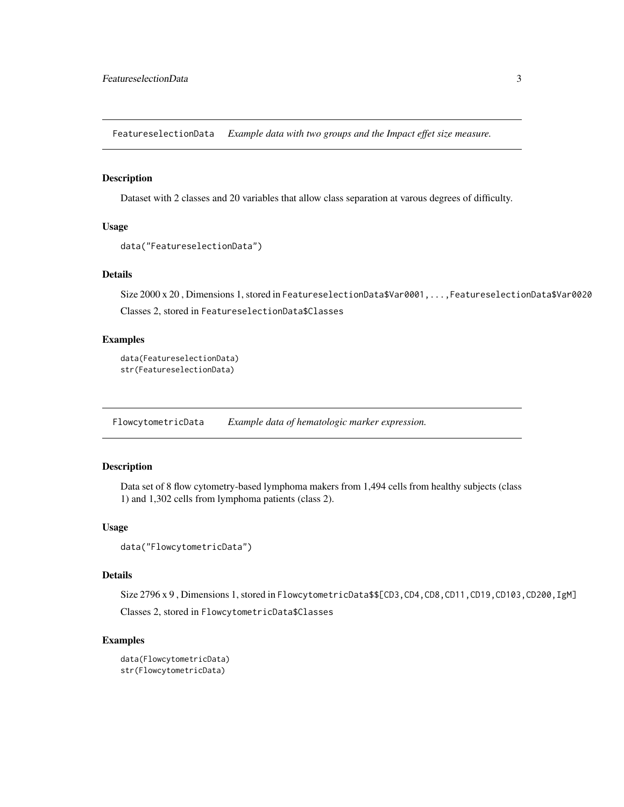<span id="page-2-0"></span>FeatureselectionData *Example data with two groups and the Impact effet size measure.*

#### Description

Dataset with 2 classes and 20 variables that allow class separation at varous degrees of difficulty.

#### Usage

```
data("FeatureselectionData")
```
#### Details

Size 2000 x 20 , Dimensions 1, stored in FeatureselectionData\$Var0001,...,FeatureselectionData\$Var0020 Classes 2, stored in FeatureselectionData\$Classes

#### Examples

```
data(FeatureselectionData)
str(FeatureselectionData)
```
FlowcytometricData *Example data of hematologic marker expression.*

#### Description

Data set of 8 flow cytometry-based lymphoma makers from 1,494 cells from healthy subjects (class 1) and 1,302 cells from lymphoma patients (class 2).

#### Usage

```
data("FlowcytometricData")
```
#### Details

Size 2796 x 9, Dimensions 1, stored in FlowcytometricData\$\$[CD3, CD4, CD8, CD11, CD19, CD103, CD200, IgM] Classes 2, stored in FlowcytometricData\$Classes

#### Examples

```
data(FlowcytometricData)
str(FlowcytometricData)
```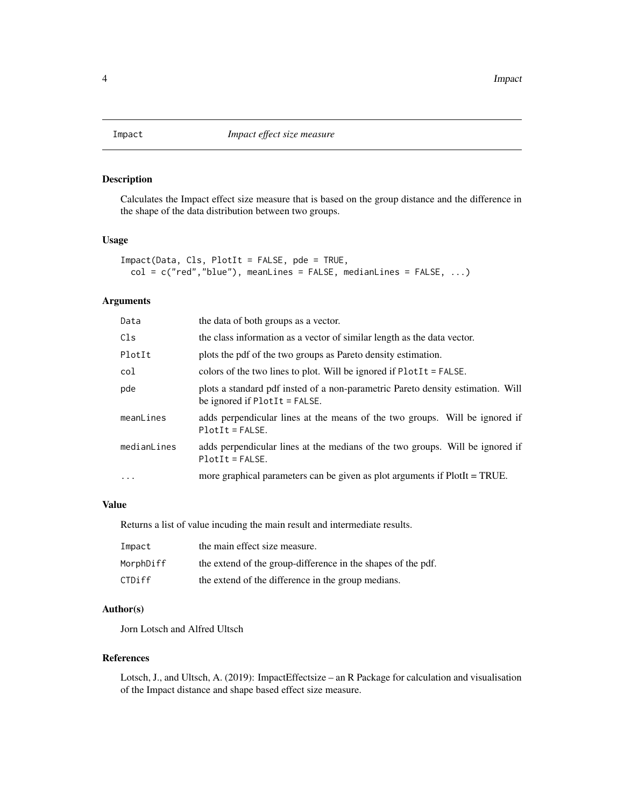<span id="page-3-0"></span>

#### Description

Calculates the Impact effect size measure that is based on the group distance and the difference in the shape of the data distribution between two groups.

#### Usage

```
Impact(Data, Cls, PlotIt = FALSE, pde = TRUE,
 col = c("red", "blue"), meanLines = FALSE, medianLines = FALSE, ...)
```
#### Arguments

| Data        | the data of both groups as a vector.                                                                               |
|-------------|--------------------------------------------------------------------------------------------------------------------|
| Cls         | the class information as a vector of similar length as the data vector.                                            |
| PlotIt      | plots the pdf of the two groups as Pareto density estimation.                                                      |
| col         | colors of the two lines to plot. Will be ignored if $PlotIt = FALSE$ .                                             |
| pde         | plots a standard pdf insted of a non-parametric Pareto density estimation. Will<br>be ignored if $PlotIt = FALSE.$ |
| meanLines   | adds perpendicular lines at the means of the two groups. Will be ignored if<br>$PlotIt = FALSE.$                   |
| medianLines | adds perpendicular lines at the medians of the two groups. Will be ignored if<br>$PlotIt = FALSE.$                 |
| $\ddots$ .  | more graphical parameters can be given as plot arguments if PlotIt = TRUE.                                         |

#### Value

Returns a list of value incuding the main result and intermediate results.

| Impact    | the main effect size measure.                                |
|-----------|--------------------------------------------------------------|
| MorphDiff | the extend of the group-difference in the shapes of the pdf. |
| CTDiff    | the extend of the difference in the group medians.           |

#### Author(s)

Jorn Lotsch and Alfred Ultsch

#### References

Lotsch, J., and Ultsch, A. (2019): ImpactEffectsize – an R Package for calculation and visualisation of the Impact distance and shape based effect size measure.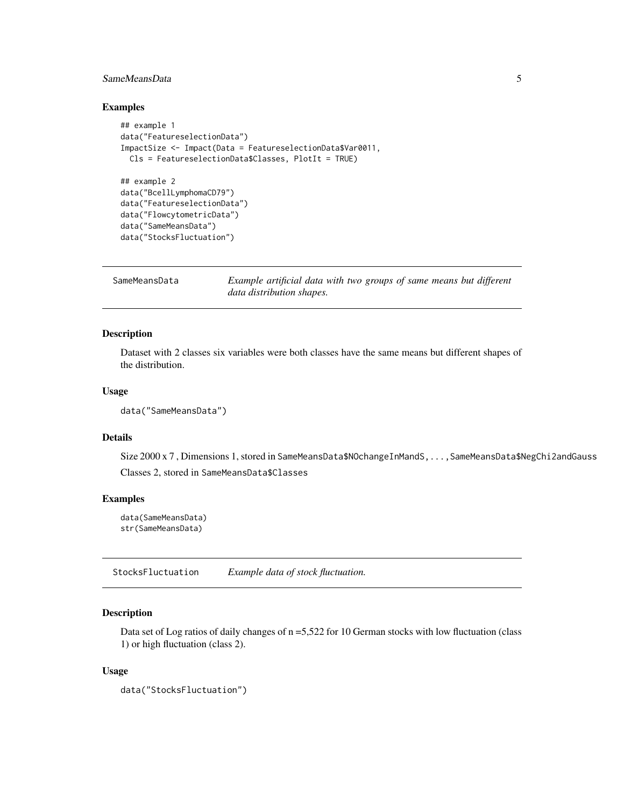#### <span id="page-4-0"></span>SameMeansData 5

#### Examples

```
## example 1
data("FeatureselectionData")
ImpactSize <- Impact(Data = FeatureselectionData$Var0011,
 Cls = FeatureselectionData$Classes, PlotIt = TRUE)
## example 2
data("BcellLymphomaCD79")
data("FeatureselectionData")
data("FlowcytometricData")
data("SameMeansData")
data("StocksFluctuation")
```

```
SameMeansData Example artificial data with two groups of same means but different
                        data distribution shapes.
```
#### Description

Dataset with 2 classes six variables were both classes have the same means but different shapes of the distribution.

#### Usage

```
data("SameMeansData")
```
#### Details

Size 2000 x 7 , Dimensions 1, stored in SameMeansData\$NOchangeInMandS,...,SameMeansData\$NegChi2andGauss Classes 2, stored in SameMeansData\$Classes

#### Examples

```
data(SameMeansData)
str(SameMeansData)
```
StocksFluctuation *Example data of stock fluctuation.*

#### Description

Data set of Log ratios of daily changes of  $n = 5,522$  for 10 German stocks with low fluctuation (class 1) or high fluctuation (class 2).

#### Usage

```
data("StocksFluctuation")
```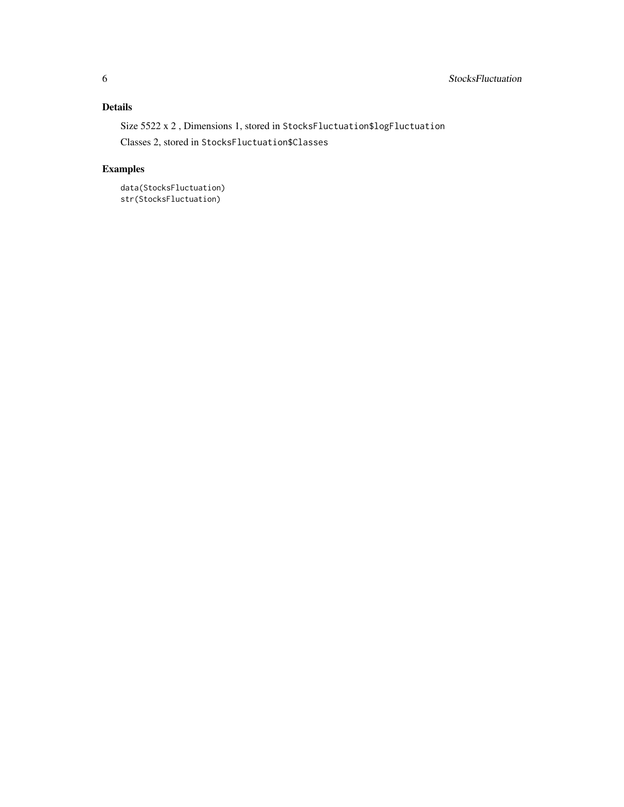#### Details

Size 5522 x 2, Dimensions 1, stored in StocksFluctuation\$logFluctuation

Classes 2, stored in StocksFluctuation\$Classes

#### Examples

```
data(StocksFluctuation)
str(StocksFluctuation)
```